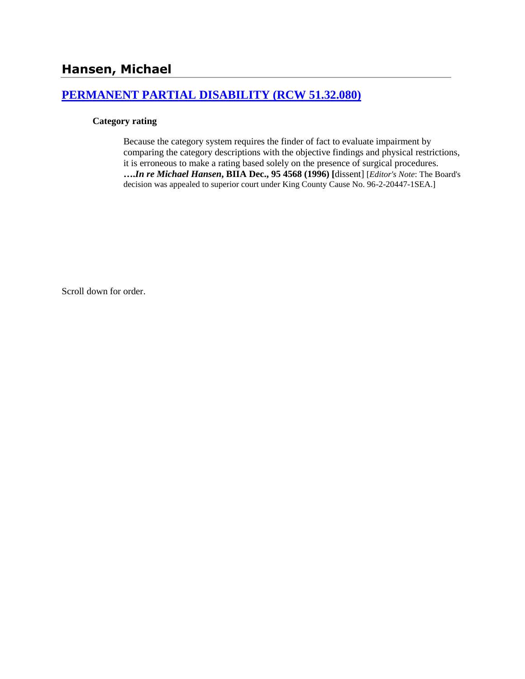## **[PERMANENT PARTIAL DISABILITY \(RCW 51.32.080\)](http://www.biia.wa.gov/SDSubjectIndex.html#PERMANENT_PARTIAL_DISABILITY)**

#### **Category rating**

Because the category system requires the finder of fact to evaluate impairment by comparing the category descriptions with the objective findings and physical restrictions, it is erroneous to make a rating based solely on the presence of surgical procedures. **….***In re Michael Hansen***, BIIA Dec., 95 4568 (1996) [**dissent] [*Editor's Note*: The Board's decision was appealed to superior court under King County Cause No. 96-2-20447-1SEA.]

Scroll down for order.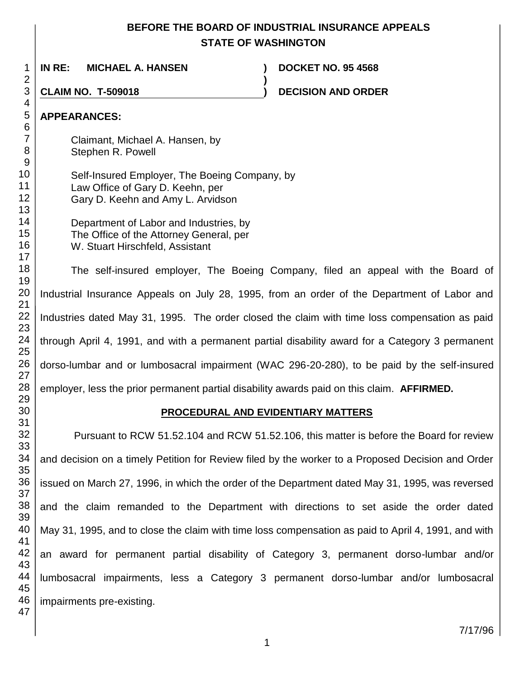# **BEFORE THE BOARD OF INDUSTRIAL INSURANCE APPEALS STATE OF WASHINGTON**

**)**

 **IN RE: MICHAEL A. HANSEN ) DOCKET NO. 95 4568**

**CLAIM NO. T-509018 ) DECISION AND ORDER** 

# **APPEARANCES:**

Claimant, Michael A. Hansen, by Stephen R. Powell

- Self-Insured Employer, The Boeing Company, by Law Office of Gary D. Keehn, per Gary D. Keehn and Amy L. Arvidson
	- Department of Labor and Industries, by The Office of the Attorney General, per W. Stuart Hirschfeld, Assistant

The self-insured employer, The Boeing Company, filed an appeal with the Board of Industrial Insurance Appeals on July 28, 1995, from an order of the Department of Labor and Industries dated May 31, 1995. The order closed the claim with time loss compensation as paid through April 4, 1991, and with a permanent partial disability award for a Category 3 permanent dorso-lumbar and or lumbosacral impairment (WAC 296-20-280), to be paid by the self-insured employer, less the prior permanent partial disability awards paid on this claim. **AFFIRMED.**

## **PROCEDURAL AND EVIDENTIARY MATTERS**

Pursuant to RCW 51.52.104 and RCW 51.52.106, this matter is before the Board for review and decision on a timely Petition for Review filed by the worker to a Proposed Decision and Order issued on March 27, 1996, in which the order of the Department dated May 31, 1995, was reversed and the claim remanded to the Department with directions to set aside the order dated May 31, 1995, and to close the claim with time loss compensation as paid to April 4, 1991, and with an award for permanent partial disability of Category 3, permanent dorso-lumbar and/or lumbosacral impairments, less a Category 3 permanent dorso-lumbar and/or lumbosacral impairments pre-existing.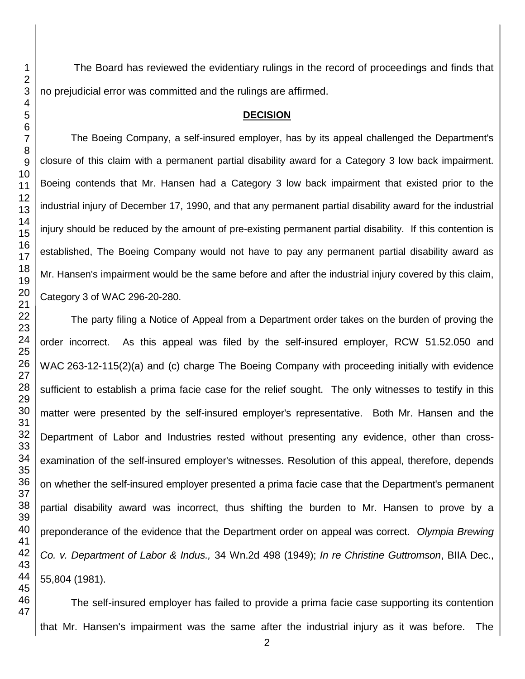The Board has reviewed the evidentiary rulings in the record of proceedings and finds that no prejudicial error was committed and the rulings are affirmed.

## **DECISION**

The Boeing Company, a self-insured employer, has by its appeal challenged the Department's closure of this claim with a permanent partial disability award for a Category 3 low back impairment. Boeing contends that Mr. Hansen had a Category 3 low back impairment that existed prior to the industrial injury of December 17, 1990, and that any permanent partial disability award for the industrial injury should be reduced by the amount of pre-existing permanent partial disability. If this contention is established, The Boeing Company would not have to pay any permanent partial disability award as Mr. Hansen's impairment would be the same before and after the industrial injury covered by this claim, Category 3 of WAC 296-20-280.

The party filing a Notice of Appeal from a Department order takes on the burden of proving the order incorrect. As this appeal was filed by the self-insured employer, RCW 51.52.050 and WAC 263-12-115(2)(a) and (c) charge The Boeing Company with proceeding initially with evidence sufficient to establish a prima facie case for the relief sought. The only witnesses to testify in this matter were presented by the self-insured employer's representative. Both Mr. Hansen and the Department of Labor and Industries rested without presenting any evidence, other than crossexamination of the self-insured employer's witnesses. Resolution of this appeal, therefore, depends on whether the self-insured employer presented a prima facie case that the Department's permanent partial disability award was incorrect, thus shifting the burden to Mr. Hansen to prove by a preponderance of the evidence that the Department order on appeal was correct. *Olympia Brewing Co. v. Department of Labor & Indus.,* 34 Wn.2d 498 (1949); *In re Christine Guttromson*, BIIA Dec., 55,804 (1981).

The self-insured employer has failed to provide a prima facie case supporting its contention that Mr. Hansen's impairment was the same after the industrial injury as it was before. The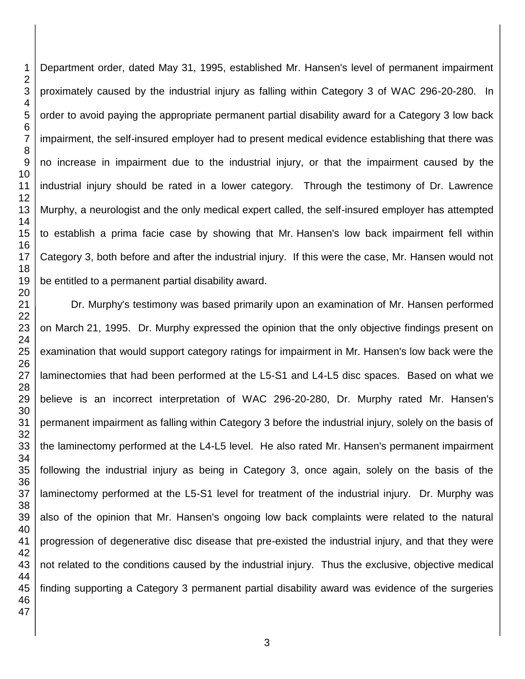Department order, dated May 31, 1995, established Mr. Hansen's level of permanent impairment proximately caused by the industrial injury as falling within Category 3 of WAC 296-20-280. In order to avoid paying the appropriate permanent partial disability award for a Category 3 low back impairment, the self-insured employer had to present medical evidence establishing that there was no increase in impairment due to the industrial injury, or that the impairment caused by the industrial injury should be rated in a lower category. Through the testimony of Dr. Lawrence Murphy, a neurologist and the only medical expert called, the self-insured employer has attempted to establish a prima facie case by showing that Mr. Hansen's low back impairment fell within Category 3, both before and after the industrial injury. If this were the case, Mr. Hansen would not be entitled to a permanent partial disability award.

 Dr. Murphy's testimony was based primarily upon an examination of Mr. Hansen performed on March 21, 1995. Dr. Murphy expressed the opinion that the only objective findings present on examination that would support category ratings for impairment in Mr. Hansen's low back were the laminectomies that had been performed at the L5-S1 and L4-L5 disc spaces. Based on what we believe is an incorrect interpretation of WAC 296-20-280, Dr. Murphy rated Mr. Hansen's permanent impairment as falling within Category 3 before the industrial injury, solely on the basis of the laminectomy performed at the L4-L5 level. He also rated Mr. Hansen's permanent impairment following the industrial injury as being in Category 3, once again, solely on the basis of the laminectomy performed at the L5-S1 level for treatment of the industrial injury. Dr. Murphy was also of the opinion that Mr. Hansen's ongoing low back complaints were related to the natural progression of degenerative disc disease that pre-existed the industrial injury, and that they were not related to the conditions caused by the industrial injury. Thus the exclusive, objective medical finding supporting a Category 3 permanent partial disability award was evidence of the surgeries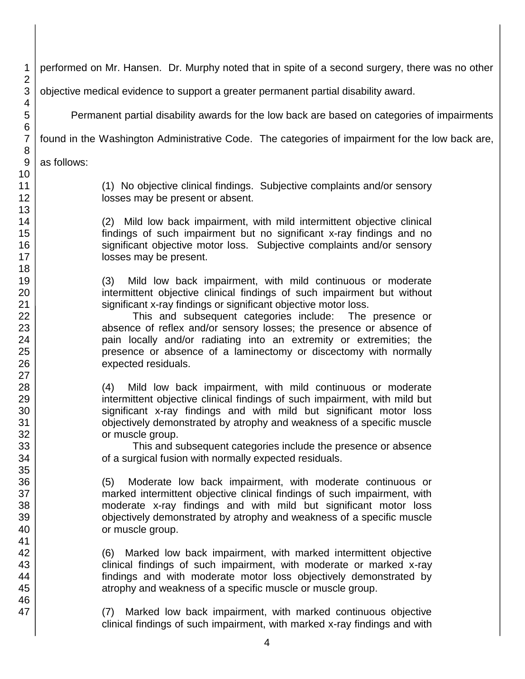| 1                   | performed on Mr. Hansen. Dr. Murphy noted that in spite of a second surgery, there was no other |
|---------------------|-------------------------------------------------------------------------------------------------|
| $\overline{2}$<br>3 | objective medical evidence to support a greater permanent partial disability award.             |
| 4                   |                                                                                                 |
| 5<br>6              | Permanent partial disability awards for the low back are based on categories of impairments     |
| $\overline{7}$      | found in the Washington Administrative Code. The categories of impairment for the low back are, |
| 8                   |                                                                                                 |
| 9                   | as follows:                                                                                     |
| 10                  |                                                                                                 |
| 11                  | (1) No objective clinical findings. Subjective complaints and/or sensory                        |
| 12                  | losses may be present or absent.                                                                |
| 13                  |                                                                                                 |
| 14                  | (2) Mild low back impairment, with mild intermittent objective clinical                         |
| 15                  | findings of such impairment but no significant x-ray findings and no                            |
| 16                  | significant objective motor loss. Subjective complaints and/or sensory                          |
| 17                  | losses may be present.                                                                          |
| 18                  |                                                                                                 |
| 19                  | Mild low back impairment, with mild continuous or moderate<br>(3)                               |
| 20                  | intermittent objective clinical findings of such impairment but without                         |
| 21                  | significant x-ray findings or significant objective motor loss.                                 |
| 22                  | This and subsequent categories include:<br>The presence or                                      |
| 23                  | absence of reflex and/or sensory losses; the presence or absence of                             |
| 24                  | pain locally and/or radiating into an extremity or extremities; the                             |
| 25                  | presence or absence of a laminectomy or discectomy with normally                                |
| 26                  | expected residuals.                                                                             |
| 27                  |                                                                                                 |
| 28                  | Mild low back impairment, with mild continuous or moderate<br>(4)                               |
| 29                  | intermittent objective clinical findings of such impairment, with mild but                      |
| 30                  | significant x-ray findings and with mild but significant motor loss                             |
| 31                  | objectively demonstrated by atrophy and weakness of a specific muscle                           |
| 32                  | or muscle group.                                                                                |
| 33                  | This and subsequent categories include the presence or absence                                  |
| 34                  | of a surgical fusion with normally expected residuals.                                          |
| 35                  |                                                                                                 |
| 36                  | Moderate low back impairment, with moderate continuous or<br>(5)                                |
| 37                  | marked intermittent objective clinical findings of such impairment, with                        |
| 38                  | moderate x-ray findings and with mild but significant motor loss                                |
| 39                  | objectively demonstrated by atrophy and weakness of a specific muscle                           |
| 40                  | or muscle group.                                                                                |
| 41                  |                                                                                                 |
| 42                  | Marked low back impairment, with marked intermittent objective<br>(6)                           |
| 43                  | clinical findings of such impairment, with moderate or marked x-ray                             |
| 44                  | findings and with moderate motor loss objectively demonstrated by                               |
| 45                  | atrophy and weakness of a specific muscle or muscle group.                                      |
| 46                  |                                                                                                 |
| 47                  | Marked low back impairment, with marked continuous objective<br>(7)                             |
|                     | clinical findings of such impairment, with marked x-ray findings and with                       |

4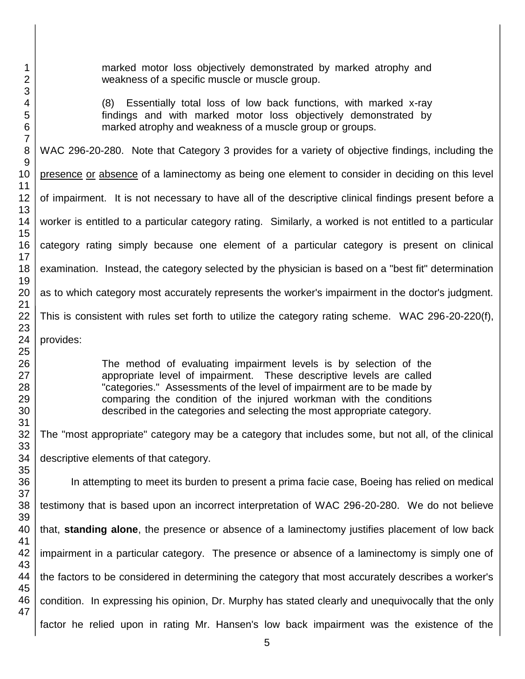marked motor loss objectively demonstrated by marked atrophy and weakness of a specific muscle or muscle group.

(8) Essentially total loss of low back functions, with marked x-ray findings and with marked motor loss objectively demonstrated by marked atrophy and weakness of a muscle group or groups.

WAC 296-20-280. Note that Category 3 provides for a variety of objective findings, including the presence or absence of a laminectomy as being one element to consider in deciding on this level of impairment. It is not necessary to have all of the descriptive clinical findings present before a worker is entitled to a particular category rating. Similarly, a worked is not entitled to a particular category rating simply because one element of a particular category is present on clinical examination. Instead, the category selected by the physician is based on a "best fit" determination as to which category most accurately represents the worker's impairment in the doctor's judgment.

This is consistent with rules set forth to utilize the category rating scheme. WAC 296-20-220(f),

provides:

The method of evaluating impairment levels is by selection of the appropriate level of impairment. These descriptive levels are called "categories." Assessments of the level of impairment are to be made by comparing the condition of the injured workman with the conditions described in the categories and selecting the most appropriate category.

The "most appropriate" category may be a category that includes some, but not all, of the clinical descriptive elements of that category.

In attempting to meet its burden to present a prima facie case, Boeing has relied on medical testimony that is based upon an incorrect interpretation of WAC 296-20-280. We do not believe that, **standing alone**, the presence or absence of a laminectomy justifies placement of low back impairment in a particular category. The presence or absence of a laminectomy is simply one of the factors to be considered in determining the category that most accurately describes a worker's condition. In expressing his opinion, Dr. Murphy has stated clearly and unequivocally that the only factor he relied upon in rating Mr. Hansen's low back impairment was the existence of the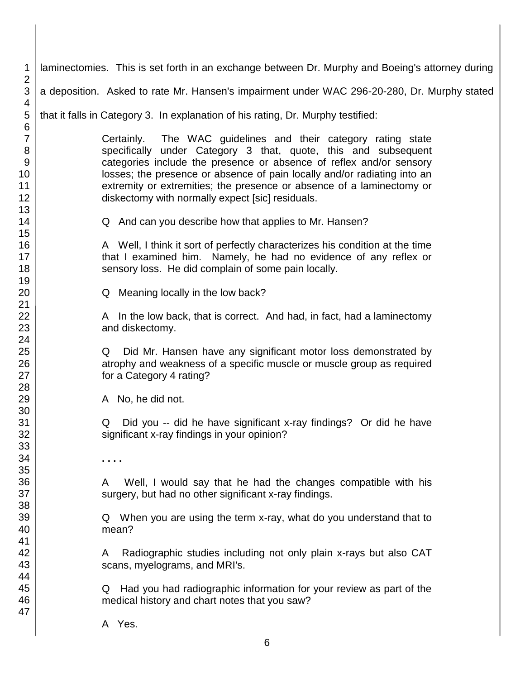1 2 3 4 5 6 7 8 9 10 11 12 13 14 15 16 17 18 19 20 21 22 23 24 25 26 27 28 29 30 31 32 33 34 35 36 37 38 39 40 41 42 43 44 45 46 47 laminectomies. This is set forth in an exchange between Dr. Murphy and Boeing's attorney during a deposition. Asked to rate Mr. Hansen's impairment under WAC 296-20-280, Dr. Murphy stated that it falls in Category 3. In explanation of his rating, Dr. Murphy testified: Certainly. The WAC guidelines and their category rating state specifically under Category 3 that, quote, this and subsequent categories include the presence or absence of reflex and/or sensory losses; the presence or absence of pain locally and/or radiating into an extremity or extremities; the presence or absence of a laminectomy or diskectomy with normally expect [sic] residuals. Q And can you describe how that applies to Mr. Hansen? A Well, I think it sort of perfectly characterizes his condition at the time that I examined him. Namely, he had no evidence of any reflex or sensory loss. He did complain of some pain locally. Q Meaning locally in the low back? A In the low back, that is correct. And had, in fact, had a laminectomy and diskectomy. Q Did Mr. Hansen have any significant motor loss demonstrated by atrophy and weakness of a specific muscle or muscle group as required for a Category 4 rating? A No, he did not. Q Did you -- did he have significant x-ray findings? Or did he have significant x-ray findings in your opinion? **. . . .** A Well, I would say that he had the changes compatible with his surgery, but had no other significant x-ray findings. Q When you are using the term x-ray, what do you understand that to mean? A Radiographic studies including not only plain x-rays but also CAT scans, myelograms, and MRI's. Q Had you had radiographic information for your review as part of the medical history and chart notes that you saw? A Yes.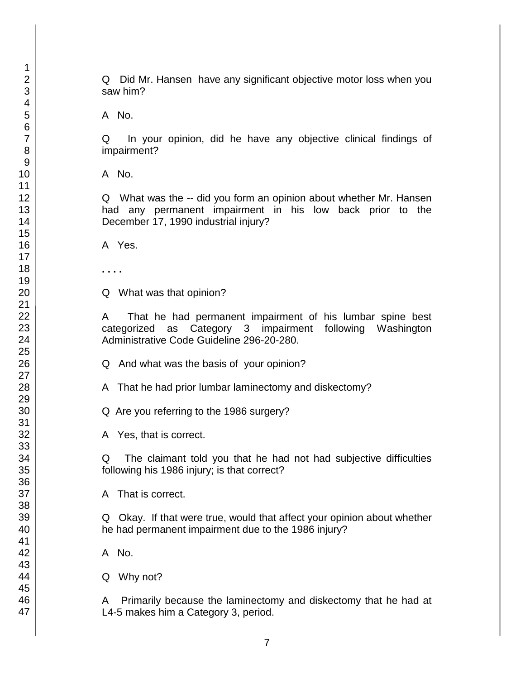Q Did Mr. Hansen have any significant objective motor loss when you saw him?

A No.

Q In your opinion, did he have any objective clinical findings of impairment?

A No.

Q What was the -- did you form an opinion about whether Mr. Hansen had any permanent impairment in his low back prior to the December 17, 1990 industrial injury?

A Yes.

**. . . .**

Q What was that opinion?

A That he had permanent impairment of his lumbar spine best categorized as Category 3 impairment following Washington Administrative Code Guideline 296-20-280.

Q And what was the basis of your opinion?

A That he had prior lumbar laminectomy and diskectomy?

Q Are you referring to the 1986 surgery?

A Yes, that is correct.

Q The claimant told you that he had not had subjective difficulties following his 1986 injury; is that correct?

A That is correct.

Q Okay. If that were true, would that affect your opinion about whether he had permanent impairment due to the 1986 injury?

A No.

Q Why not?

A Primarily because the laminectomy and diskectomy that he had at L4-5 makes him a Category 3, period.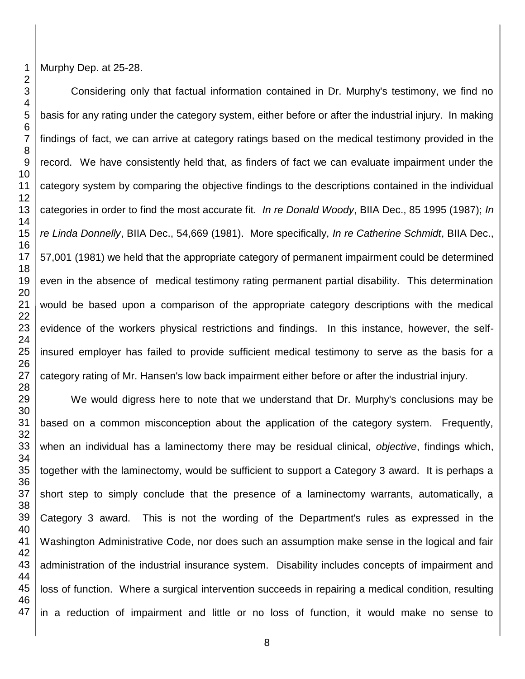Murphy Dep. at 25-28.

Considering only that factual information contained in Dr. Murphy's testimony, we find no basis for any rating under the category system, either before or after the industrial injury. In making findings of fact, we can arrive at category ratings based on the medical testimony provided in the record. We have consistently held that, as finders of fact we can evaluate impairment under the category system by comparing the objective findings to the descriptions contained in the individual categories in order to find the most accurate fit. *In re Donald Woody*, BIIA Dec., 85 1995 (1987); *In re Linda Donnelly*, BIIA Dec., 54,669 (1981). More specifically, *In re Catherine Schmidt*, BIIA Dec., 57,001 (1981) we held that the appropriate category of permanent impairment could be determined even in the absence of medical testimony rating permanent partial disability. This determination would be based upon a comparison of the appropriate category descriptions with the medical evidence of the workers physical restrictions and findings. In this instance, however, the selfinsured employer has failed to provide sufficient medical testimony to serve as the basis for a category rating of Mr. Hansen's low back impairment either before or after the industrial injury.

 We would digress here to note that we understand that Dr. Murphy's conclusions may be based on a common misconception about the application of the category system. Frequently, when an individual has a laminectomy there may be residual clinical, *objective*, findings which, together with the laminectomy, would be sufficient to support a Category 3 award. It is perhaps a short step to simply conclude that the presence of a laminectomy warrants, automatically, a Category 3 award. This is not the wording of the Department's rules as expressed in the Washington Administrative Code, nor does such an assumption make sense in the logical and fair administration of the industrial insurance system. Disability includes concepts of impairment and loss of function. Where a surgical intervention succeeds in repairing a medical condition, resulting in a reduction of impairment and little or no loss of function, it would make no sense to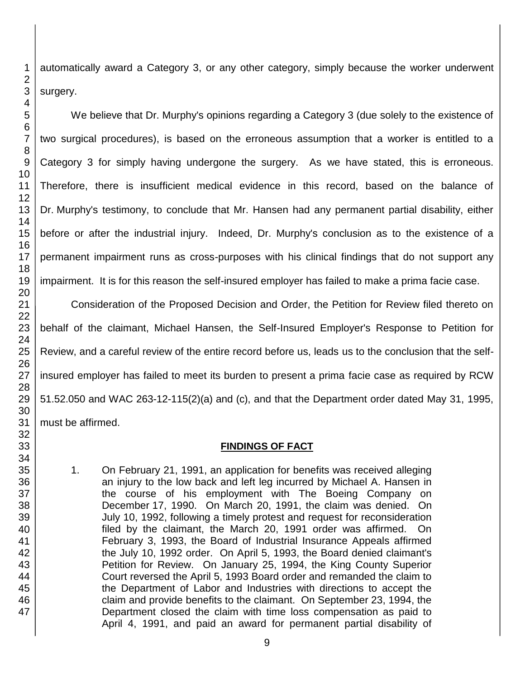automatically award a Category 3, or any other category, simply because the worker underwent surgery.

We believe that Dr. Murphy's opinions regarding a Category 3 (due solely to the existence of two surgical procedures), is based on the erroneous assumption that a worker is entitled to a Category 3 for simply having undergone the surgery. As we have stated, this is erroneous. Therefore, there is insufficient medical evidence in this record, based on the balance of Dr. Murphy's testimony, to conclude that Mr. Hansen had any permanent partial disability, either before or after the industrial injury. Indeed, Dr. Murphy's conclusion as to the existence of a permanent impairment runs as cross-purposes with his clinical findings that do not support any impairment. It is for this reason the self-insured employer has failed to make a prima facie case.

Consideration of the Proposed Decision and Order, the Petition for Review filed thereto on behalf of the claimant, Michael Hansen, the Self-Insured Employer's Response to Petition for Review, and a careful review of the entire record before us, leads us to the conclusion that the selfinsured employer has failed to meet its burden to present a prima facie case as required by RCW 51.52.050 and WAC 263-12-115(2)(a) and (c), and that the Department order dated May 31, 1995, must be affirmed.

## **FINDINGS OF FACT**

1. On February 21, 1991, an application for benefits was received alleging an injury to the low back and left leg incurred by Michael A. Hansen in the course of his employment with The Boeing Company on December 17, 1990. On March 20, 1991, the claim was denied. On July 10, 1992, following a timely protest and request for reconsideration filed by the claimant, the March 20, 1991 order was affirmed. On February 3, 1993, the Board of Industrial Insurance Appeals affirmed the July 10, 1992 order. On April 5, 1993, the Board denied claimant's Petition for Review. On January 25, 1994, the King County Superior Court reversed the April 5, 1993 Board order and remanded the claim to the Department of Labor and Industries with directions to accept the claim and provide benefits to the claimant. On September 23, 1994, the Department closed the claim with time loss compensation as paid to April 4, 1991, and paid an award for permanent partial disability of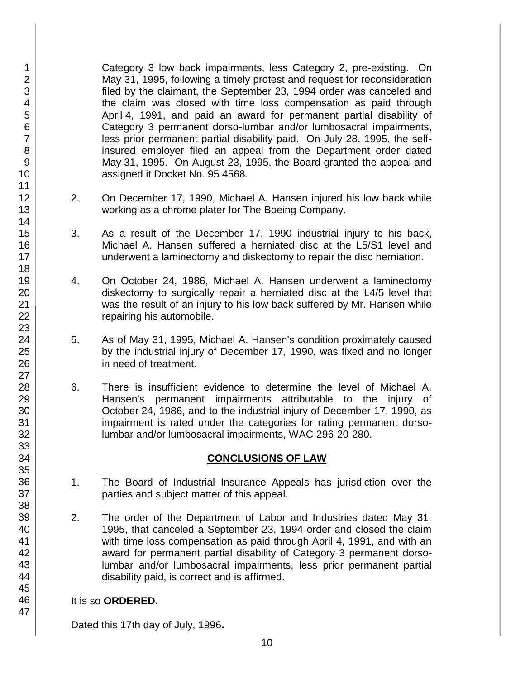Category 3 low back impairments, less Category 2, pre-existing. On May 31, 1995, following a timely protest and request for reconsideration filed by the claimant, the September 23, 1994 order was canceled and the claim was closed with time loss compensation as paid through April 4, 1991, and paid an award for permanent partial disability of Category 3 permanent dorso-lumbar and/or lumbosacral impairments, less prior permanent partial disability paid. On July 28, 1995, the selfinsured employer filed an appeal from the Department order dated May 31, 1995. On August 23, 1995, the Board granted the appeal and assigned it Docket No. 95 4568.

- 2. On December 17, 1990, Michael A. Hansen injured his low back while working as a chrome plater for The Boeing Company.
- 3. As a result of the December 17, 1990 industrial injury to his back, Michael A. Hansen suffered a herniated disc at the L5/S1 level and underwent a laminectomy and diskectomy to repair the disc herniation.
- 4. On October 24, 1986, Michael A. Hansen underwent a laminectomy diskectomy to surgically repair a herniated disc at the L4/5 level that was the result of an injury to his low back suffered by Mr. Hansen while repairing his automobile.
- 5. As of May 31, 1995, Michael A. Hansen's condition proximately caused by the industrial injury of December 17, 1990, was fixed and no longer in need of treatment.
- 6. There is insufficient evidence to determine the level of Michael A. Hansen's permanent impairments attributable to the injury of October 24, 1986, and to the industrial injury of December 17, 1990, as impairment is rated under the categories for rating permanent dorsolumbar and/or lumbosacral impairments, WAC 296-20-280.

# **CONCLUSIONS OF LAW**

- 1. The Board of Industrial Insurance Appeals has jurisdiction over the parties and subject matter of this appeal.
- 2. The order of the Department of Labor and Industries dated May 31, 1995, that canceled a September 23, 1994 order and closed the claim with time loss compensation as paid through April 4, 1991, and with an award for permanent partial disability of Category 3 permanent dorsolumbar and/or lumbosacral impairments, less prior permanent partial disability paid, is correct and is affirmed.

## It is so **ORDERED.**

Dated this 17th day of July, 1996**.**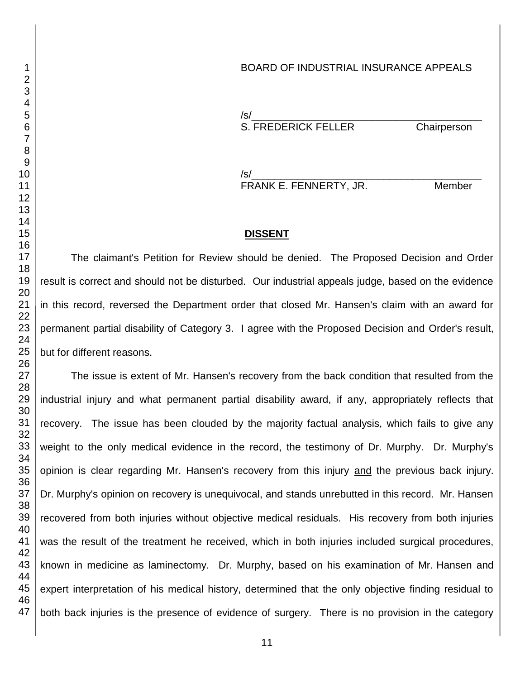## BOARD OF INDUSTRIAL INSURANCE APPEALS

/s/\_\_\_\_\_\_\_\_\_\_\_\_\_\_\_\_\_\_\_\_\_\_\_\_\_\_\_\_\_\_\_\_\_\_\_\_\_\_\_\_ S. FREDERICK FELLER Chairperson

/s/\_\_\_\_\_\_\_\_\_\_\_\_\_\_\_\_\_\_\_\_\_\_\_\_\_\_\_\_\_\_\_\_\_\_\_\_\_\_\_\_ FRANK E. FENNERTY, JR. Member

## **DISSENT**

The claimant's Petition for Review should be denied. The Proposed Decision and Order result is correct and should not be disturbed. Our industrial appeals judge, based on the evidence in this record, reversed the Department order that closed Mr. Hansen's claim with an award for permanent partial disability of Category 3. I agree with the Proposed Decision and Order's result, but for different reasons.

The issue is extent of Mr. Hansen's recovery from the back condition that resulted from the industrial injury and what permanent partial disability award, if any, appropriately reflects that recovery. The issue has been clouded by the majority factual analysis, which fails to give any weight to the only medical evidence in the record, the testimony of Dr. Murphy. Dr. Murphy's opinion is clear regarding Mr. Hansen's recovery from this injury and the previous back injury. Dr. Murphy's opinion on recovery is unequivocal, and stands unrebutted in this record. Mr. Hansen recovered from both injuries without objective medical residuals. His recovery from both injuries was the result of the treatment he received, which in both injuries included surgical procedures, known in medicine as laminectomy. Dr. Murphy, based on his examination of Mr. Hansen and expert interpretation of his medical history, determined that the only objective finding residual to both back injuries is the presence of evidence of surgery. There is no provision in the category